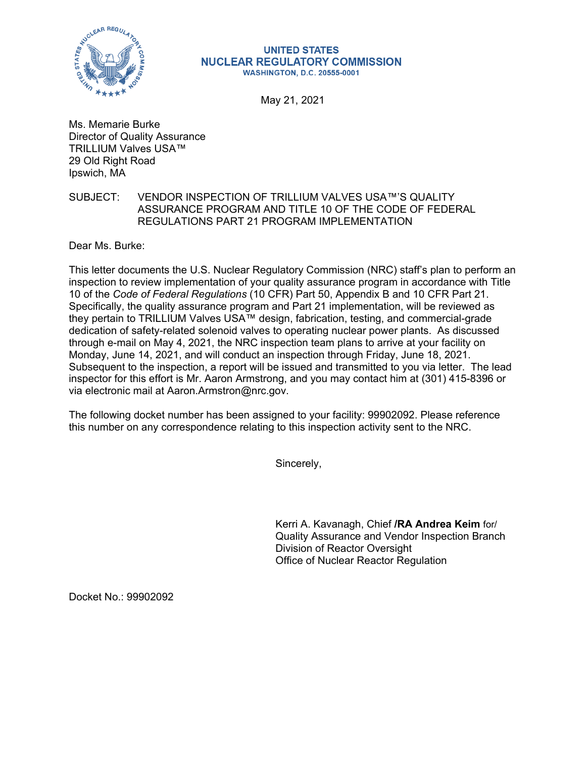

## **UNITED STATES NUCLEAR REGULATORY COMMISSION WASHINGTON, D.C. 20555-0001**

May 21, 2021

Ms. Memarie Burke Director of Quality Assurance TRILLIUM Valves USA™ 29 Old Right Road Ipswich, MA

## SUBJECT: VENDOR INSPECTION OF TRILLIUM VALVES USA™'S QUALITY ASSURANCE PROGRAM AND TITLE 10 OF THE CODE OF FEDERAL REGULATIONS PART 21 PROGRAM IMPLEMENTATION

Dear Ms. Burke:

This letter documents the U.S. Nuclear Regulatory Commission (NRC) staff's plan to perform an inspection to review implementation of your quality assurance program in accordance with Title 10 of the *Code of Federal Regulations* (10 CFR) Part 50, Appendix B and 10 CFR Part 21. Specifically, the quality assurance program and Part 21 implementation, will be reviewed as they pertain to TRILLIUM Valves USA™ design, fabrication, testing, and commercial-grade dedication of safety-related solenoid valves to operating nuclear power plants. As discussed through e-mail on May 4, 2021, the NRC inspection team plans to arrive at your facility on Monday, June 14, 2021, and will conduct an inspection through Friday, June 18, 2021. Subsequent to the inspection, a report will be issued and transmitted to you via letter. The lead inspector for this effort is Mr. Aaron Armstrong, and you may contact him at (301) 415-8396 or via electronic mail at Aaron.Armstron@nrc.gov.

The following docket number has been assigned to your facility: 99902092. Please reference this number on any correspondence relating to this inspection activity sent to the NRC.

Sincerely,

Kerri A. Kavanagh, Chief **/RA Andrea Keim** for/ Quality Assurance and Vendor Inspection Branch Division of Reactor Oversight Office of Nuclear Reactor Regulation

Docket No.: 99902092